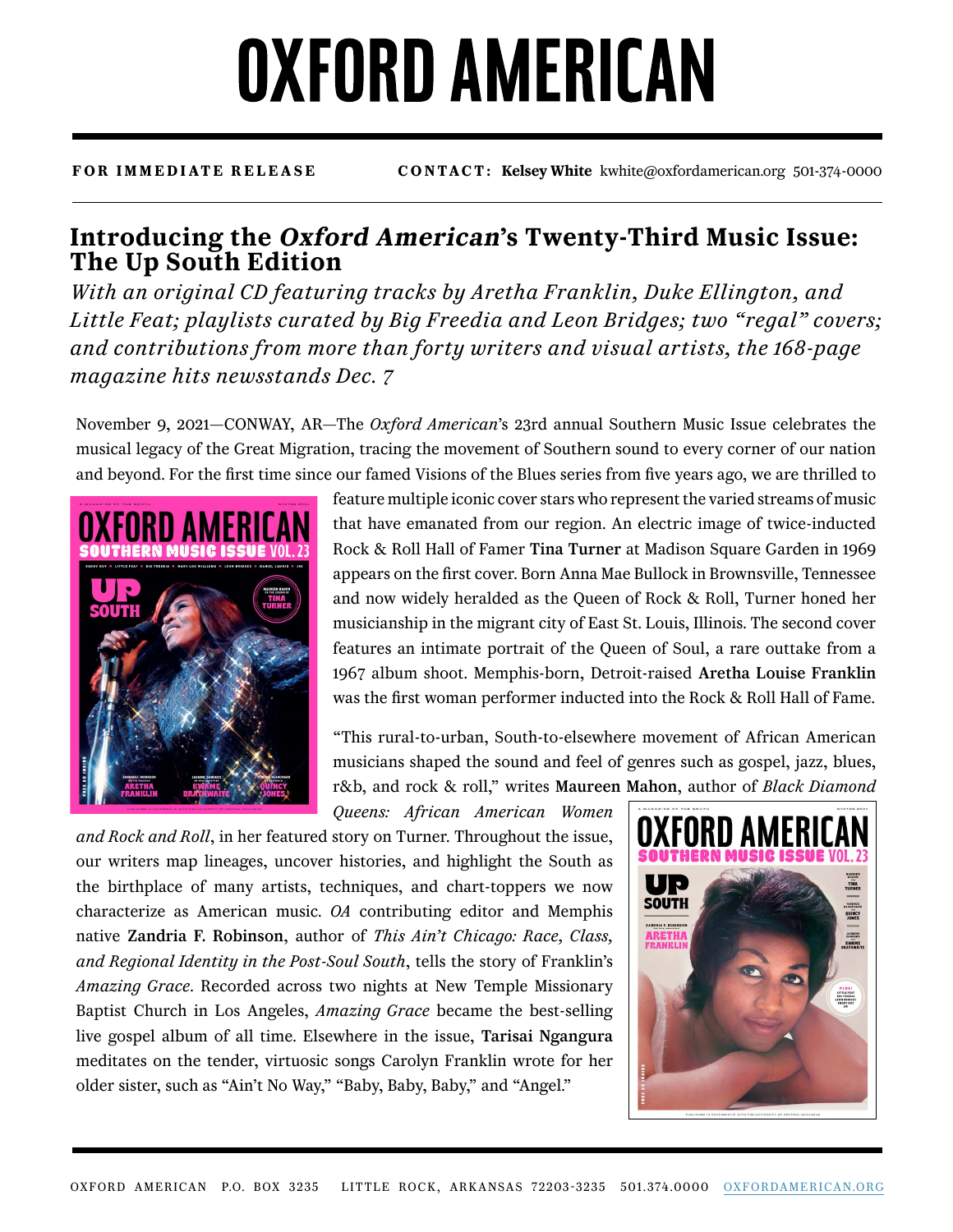## **OXFORD AMERICAN**

## **FOR IMMEDIATE RELEASE CONTACT: Kelsey White** kwhite@oxfordamerican.org 501-374-0000

## **Introducing the Oxford American's Twenty-Third Music Issue: The Up South Edition**

*With an original CD featuring tracks by Aretha Franklin, Duke Ellington, and Little Feat; playlists curated by Big Freedia and Leon Bridges; two "regal" covers; and contributions from more than forty writers and visual artists, the 168-page magazine hits newsstands Dec. 7*

November 9, 2021—CONWAY, AR—The *Oxford American*'s 23rd annual Southern Music Issue celebrates the musical legacy of the Great Migration, tracing the movement of Southern sound to every corner of our nation and beyond. For the first time since our famed Visions of the Blues series from five years ago, we are thrilled to



feature multiple iconic cover stars who represent the varied streams of music that have emanated from our region. An electric image of twice-inducted Rock & Roll Hall of Famer Tina Turner at Madison Square Garden in 1969 appears on the first cover. Born Anna Mae Bullock in Brownsville, Tennessee and now widely heralded as the Queen of Rock & Roll, Turner honed her musicianship in the migrant city of East St. Louis, Illinois. The second cover features an intimate portrait of the Queen of Soul, a rare outtake from a 1967 album shoot. Memphis-born, Detroit-raised Aretha Louise Franklin was the first woman performer inducted into the Rock & Roll Hall of Fame.

"This rural-to-urban, South-to-elsewhere movement of African American musicians shaped the sound and feel of genres such as gospel, jazz, blues, r&b, and rock & roll," writes Maureen Mahon, author of *Black Diamond* 

*Queens: African American Women* 

*and Rock and Roll*, in her featured story on Turner. Throughout the issue, our writers map lineages, uncover histories, and highlight the South as the birthplace of many artists, techniques, and chart-toppers we now characterize as American music. *OA* contributing editor and Memphis native Zandria F. Robinson, author of *This Ain't Chicago: Race, Class, and Regional Identity in the Post-Soul South*, tells the story of Franklin's *Amazing Grace*. Recorded across two nights at New Temple Missionary Baptist Church in Los Angeles, *Amazing Grace* became the best-selling live gospel album of all time. Elsewhere in the issue, Tarisai Ngangura meditates on the tender, virtuosic songs Carolyn Franklin wrote for her older sister, such as "Ain't No Way," "Baby, Baby, Baby," and "Angel."